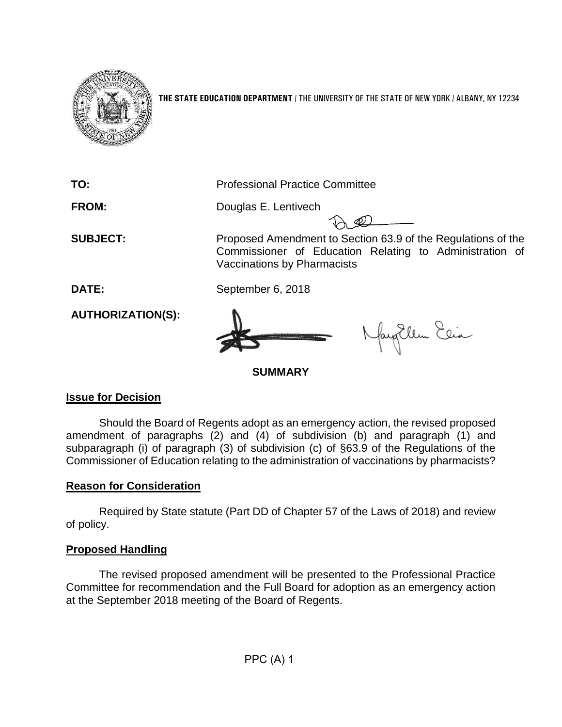

**THE STATE EDUCATION DEPARTMENT** / THE UNIVERSITY OF THE STATE OF NEW YORK / ALBANY, NY 12234



# **Issue for Decision**

Should the Board of Regents adopt as an emergency action, the revised proposed amendment of paragraphs (2) and (4) of subdivision (b) and paragraph (1) and subparagraph (i) of paragraph (3) of subdivision (c) of §63.9 of the Regulations of the Commissioner of Education relating to the administration of vaccinations by pharmacists?

# **Reason for Consideration**

Required by State statute (Part DD of Chapter 57 of the Laws of 2018) and review of policy.

# **Proposed Handling**

The revised proposed amendment will be presented to the Professional Practice Committee for recommendation and the Full Board for adoption as an emergency action at the September 2018 meeting of the Board of Regents.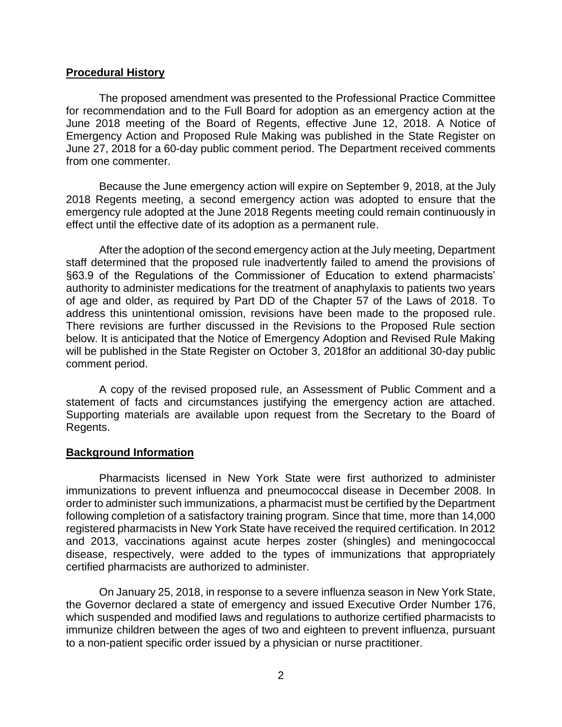#### **Procedural History**

The proposed amendment was presented to the Professional Practice Committee for recommendation and to the Full Board for adoption as an emergency action at the June 2018 meeting of the Board of Regents, effective June 12, 2018. A Notice of Emergency Action and Proposed Rule Making was published in the State Register on June 27, 2018 for a 60-day public comment period. The Department received comments from one commenter.

Because the June emergency action will expire on September 9, 2018, at the July 2018 Regents meeting, a second emergency action was adopted to ensure that the emergency rule adopted at the June 2018 Regents meeting could remain continuously in effect until the effective date of its adoption as a permanent rule.

After the adoption of the second emergency action at the July meeting, Department staff determined that the proposed rule inadvertently failed to amend the provisions of §63.9 of the Regulations of the Commissioner of Education to extend pharmacists' authority to administer medications for the treatment of anaphylaxis to patients two years of age and older, as required by Part DD of the Chapter 57 of the Laws of 2018. To address this unintentional omission, revisions have been made to the proposed rule. There revisions are further discussed in the Revisions to the Proposed Rule section below. It is anticipated that the Notice of Emergency Adoption and Revised Rule Making will be published in the State Register on October 3, 2018for an additional 30-day public comment period.

A copy of the revised proposed rule, an Assessment of Public Comment and a statement of facts and circumstances justifying the emergency action are attached. Supporting materials are available upon request from the Secretary to the Board of Regents.

#### **Background Information**

Pharmacists licensed in New York State were first authorized to administer immunizations to prevent influenza and pneumococcal disease in December 2008. In order to administer such immunizations, a pharmacist must be certified by the Department following completion of a satisfactory training program. Since that time, more than 14,000 registered pharmacists in New York State have received the required certification. In 2012 and 2013, vaccinations against acute herpes zoster (shingles) and meningococcal disease, respectively, were added to the types of immunizations that appropriately certified pharmacists are authorized to administer.

On January 25, 2018, in response to a severe influenza season in New York State, the Governor declared a state of emergency and issued Executive Order Number 176, which suspended and modified laws and regulations to authorize certified pharmacists to immunize children between the ages of two and eighteen to prevent influenza, pursuant to a non-patient specific order issued by a physician or nurse practitioner.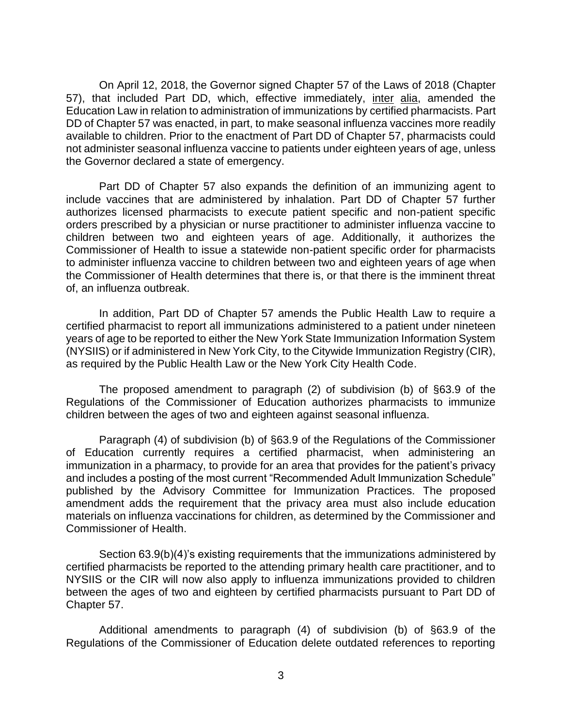On April 12, 2018, the Governor signed Chapter 57 of the Laws of 2018 (Chapter 57), that included Part DD, which, effective immediately, inter alia, amended the Education Law in relation to administration of immunizations by certified pharmacists. Part DD of Chapter 57 was enacted, in part, to make seasonal influenza vaccines more readily available to children. Prior to the enactment of Part DD of Chapter 57, pharmacists could not administer seasonal influenza vaccine to patients under eighteen years of age, unless the Governor declared a state of emergency.

Part DD of Chapter 57 also expands the definition of an immunizing agent to include vaccines that are administered by inhalation. Part DD of Chapter 57 further authorizes licensed pharmacists to execute patient specific and non-patient specific orders prescribed by a physician or nurse practitioner to administer influenza vaccine to children between two and eighteen years of age. Additionally, it authorizes the Commissioner of Health to issue a statewide non-patient specific order for pharmacists to administer influenza vaccine to children between two and eighteen years of age when the Commissioner of Health determines that there is, or that there is the imminent threat of, an influenza outbreak.

In addition, Part DD of Chapter 57 amends the Public Health Law to require a certified pharmacist to report all immunizations administered to a patient under nineteen years of age to be reported to either the New York State Immunization Information System (NYSIIS) or if administered in New York City, to the Citywide Immunization Registry (CIR), as required by the Public Health Law or the New York City Health Code.

The proposed amendment to paragraph (2) of subdivision (b) of §63.9 of the Regulations of the Commissioner of Education authorizes pharmacists to immunize children between the ages of two and eighteen against seasonal influenza.

Paragraph (4) of subdivision (b) of §63.9 of the Regulations of the Commissioner of Education currently requires a certified pharmacist, when administering an immunization in a pharmacy, to provide for an area that provides for the patient's privacy and includes a posting of the most current "Recommended Adult Immunization Schedule" published by the Advisory Committee for Immunization Practices. The proposed amendment adds the requirement that the privacy area must also include education materials on influenza vaccinations for children, as determined by the Commissioner and Commissioner of Health.

Section 63.9(b)(4)'s existing requirements that the immunizations administered by certified pharmacists be reported to the attending primary health care practitioner, and to NYSIIS or the CIR will now also apply to influenza immunizations provided to children between the ages of two and eighteen by certified pharmacists pursuant to Part DD of Chapter 57.

Additional amendments to paragraph (4) of subdivision (b) of §63.9 of the Regulations of the Commissioner of Education delete outdated references to reporting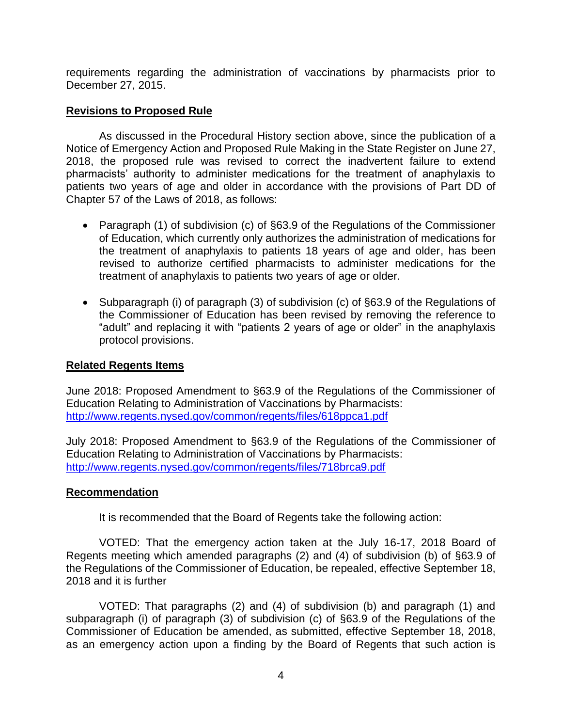requirements regarding the administration of vaccinations by pharmacists prior to December 27, 2015.

## **Revisions to Proposed Rule**

As discussed in the Procedural History section above, since the publication of a Notice of Emergency Action and Proposed Rule Making in the State Register on June 27, 2018, the proposed rule was revised to correct the inadvertent failure to extend pharmacists' authority to administer medications for the treatment of anaphylaxis to patients two years of age and older in accordance with the provisions of Part DD of Chapter 57 of the Laws of 2018, as follows:

- Paragraph (1) of subdivision (c) of §63.9 of the Regulations of the Commissioner of Education, which currently only authorizes the administration of medications for the treatment of anaphylaxis to patients 18 years of age and older, has been revised to authorize certified pharmacists to administer medications for the treatment of anaphylaxis to patients two years of age or older.
- Subparagraph (i) of paragraph (3) of subdivision (c) of §63.9 of the Regulations of the Commissioner of Education has been revised by removing the reference to "adult" and replacing it with "patients 2 years of age or older" in the anaphylaxis protocol provisions.

## **Related Regents Items**

June 2018: Proposed Amendment to §63.9 of the Regulations of the Commissioner of Education Relating to Administration of Vaccinations by Pharmacists: <http://www.regents.nysed.gov/common/regents/files/618ppca1.pdf>

July 2018: Proposed Amendment to §63.9 of the Regulations of the Commissioner of Education Relating to Administration of Vaccinations by Pharmacists: <http://www.regents.nysed.gov/common/regents/files/718brca9.pdf>

#### **Recommendation**

It is recommended that the Board of Regents take the following action:

VOTED: That the emergency action taken at the July 16-17, 2018 Board of Regents meeting which amended paragraphs (2) and (4) of subdivision (b) of §63.9 of the Regulations of the Commissioner of Education, be repealed, effective September 18, 2018 and it is further

VOTED: That paragraphs (2) and (4) of subdivision (b) and paragraph (1) and subparagraph (i) of paragraph (3) of subdivision (c) of §63.9 of the Regulations of the Commissioner of Education be amended, as submitted, effective September 18, 2018, as an emergency action upon a finding by the Board of Regents that such action is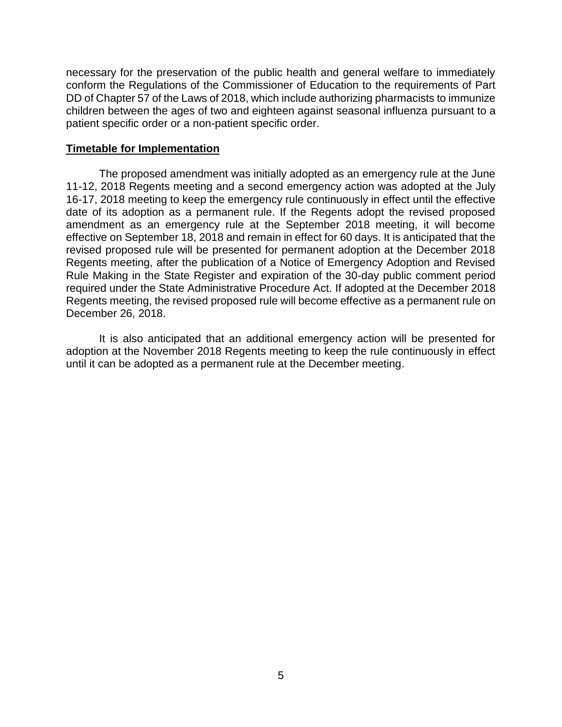necessary for the preservation of the public health and general welfare to immediately conform the Regulations of the Commissioner of Education to the requirements of Part DD of Chapter 57 of the Laws of 2018, which include authorizing pharmacists to immunize children between the ages of two and eighteen against seasonal influenza pursuant to a patient specific order or a non-patient specific order.

#### **Timetable for Implementation**

The proposed amendment was initially adopted as an emergency rule at the June 11-12, 2018 Regents meeting and a second emergency action was adopted at the July 16-17, 2018 meeting to keep the emergency rule continuously in effect until the effective date of its adoption as a permanent rule. If the Regents adopt the revised proposed amendment as an emergency rule at the September 2018 meeting, it will become effective on September 18, 2018 and remain in effect for 60 days. It is anticipated that the revised proposed rule will be presented for permanent adoption at the December 2018 Regents meeting, after the publication of a Notice of Emergency Adoption and Revised Rule Making in the State Register and expiration of the 30-day public comment period required under the State Administrative Procedure Act. If adopted at the December 2018 Regents meeting, the revised proposed rule will become effective as a permanent rule on December 26, 2018.

It is also anticipated that an additional emergency action will be presented for adoption at the November 2018 Regents meeting to keep the rule continuously in effect until it can be adopted as a permanent rule at the December meeting.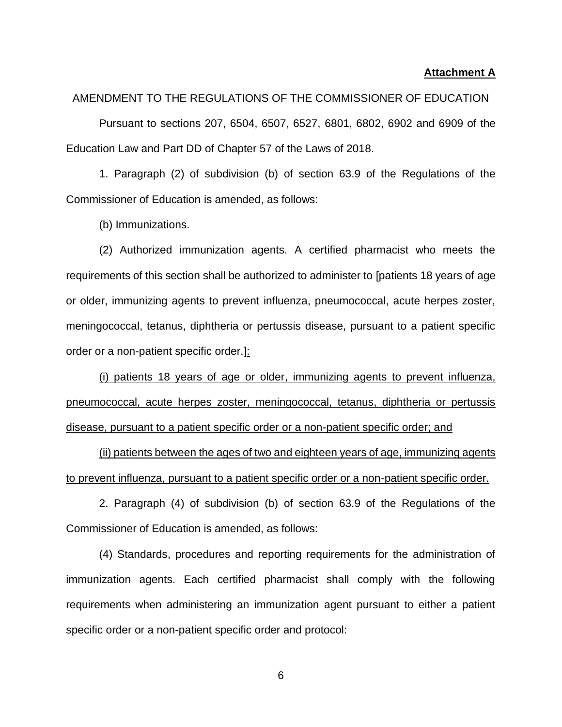#### **Attachment A**

# AMENDMENT TO THE REGULATIONS OF THE COMMISSIONER OF EDUCATION Pursuant to sections 207, 6504, 6507, 6527, 6801, 6802, 6902 and 6909 of the Education Law and Part DD of Chapter 57 of the Laws of 2018.

1. Paragraph (2) of subdivision (b) of section 63.9 of the Regulations of the Commissioner of Education is amended, as follows:

(b) Immunizations.

(2) Authorized immunization agents. A certified pharmacist who meets the requirements of this section shall be authorized to administer to [patients 18 years of age or older, immunizing agents to prevent influenza, pneumococcal, acute herpes zoster, meningococcal, tetanus, diphtheria or pertussis disease, pursuant to a patient specific order or a non-patient specific order.]:

(i) patients 18 years of age or older, immunizing agents to prevent influenza, pneumococcal, acute herpes zoster, meningococcal, tetanus, diphtheria or pertussis disease, pursuant to a patient specific order or a non-patient specific order; and

(ii) patients between the ages of two and eighteen years of age, immunizing agents to prevent influenza, pursuant to a patient specific order or a non-patient specific order.

2. Paragraph (4) of subdivision (b) of section 63.9 of the Regulations of the Commissioner of Education is amended, as follows:

(4) Standards, procedures and reporting requirements for the administration of immunization agents. Each certified pharmacist shall comply with the following requirements when administering an immunization agent pursuant to either a patient specific order or a non-patient specific order and protocol: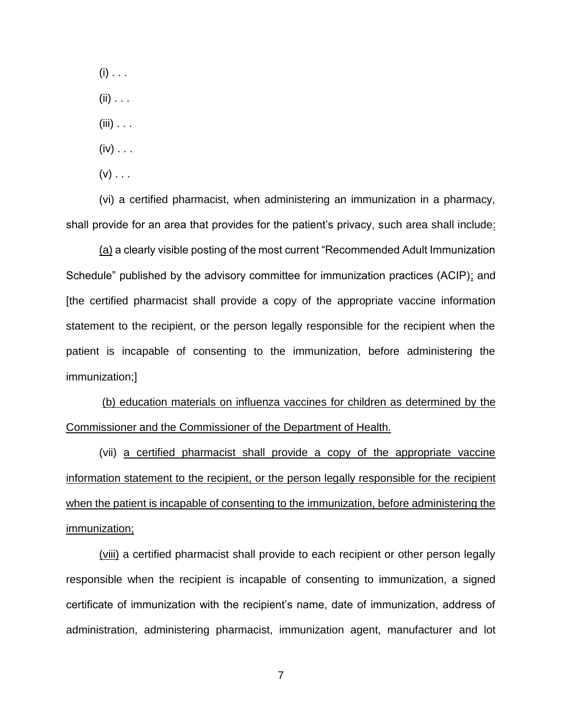$(i)$  . . .

 $(ii)$  . . .

 $(iii)$  . . .

 $(iv) \ldots$ 

 $(v)$  . . .

(vi) a certified pharmacist, when administering an immunization in a pharmacy, shall provide for an area that provides for the patient's privacy, such area shall include:

(a) a clearly visible posting of the most current "Recommended Adult Immunization Schedule" published by the advisory committee for immunization practices (ACIP); and [the certified pharmacist shall provide a copy of the appropriate vaccine information statement to the recipient, or the person legally responsible for the recipient when the patient is incapable of consenting to the immunization, before administering the immunization;]

(b) education materials on influenza vaccines for children as determined by the Commissioner and the Commissioner of the Department of Health.

(vii) a certified pharmacist shall provide a copy of the appropriate vaccine information statement to the recipient, or the person legally responsible for the recipient when the patient is incapable of consenting to the immunization, before administering the immunization;

(viii) a certified pharmacist shall provide to each recipient or other person legally responsible when the recipient is incapable of consenting to immunization, a signed certificate of immunization with the recipient's name, date of immunization, address of administration, administering pharmacist, immunization agent, manufacturer and lot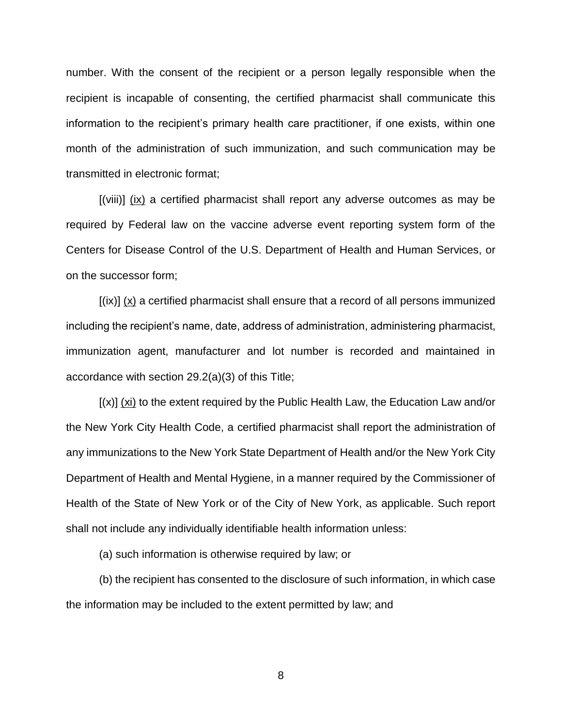number. With the consent of the recipient or a person legally responsible when the recipient is incapable of consenting, the certified pharmacist shall communicate this information to the recipient's primary health care practitioner, if one exists, within one month of the administration of such immunization, and such communication may be transmitted in electronic format;

 $[(viii)]$   $(ix)$  a certified pharmacist shall report any adverse outcomes as may be required by Federal law on the vaccine adverse event reporting system form of the Centers for Disease Control of the U.S. Department of Health and Human Services, or on the successor form;

 $[(ix)]$   $(x)$  a certified pharmacist shall ensure that a record of all persons immunized including the recipient's name, date, address of administration, administering pharmacist, immunization agent, manufacturer and lot number is recorded and maintained in accordance with section 29.2(a)(3) of this Title;

 $[(x)]$  (xi) to the extent required by the Public Health Law, the Education Law and/or the New York City Health Code, a certified pharmacist shall report the administration of any immunizations to the New York State Department of Health and/or the New York City Department of Health and Mental Hygiene, in a manner required by the Commissioner of Health of the State of New York or of the City of New York, as applicable. Such report shall not include any individually identifiable health information unless:

(a) such information is otherwise required by law; or

(b) the recipient has consented to the disclosure of such information, in which case the information may be included to the extent permitted by law; and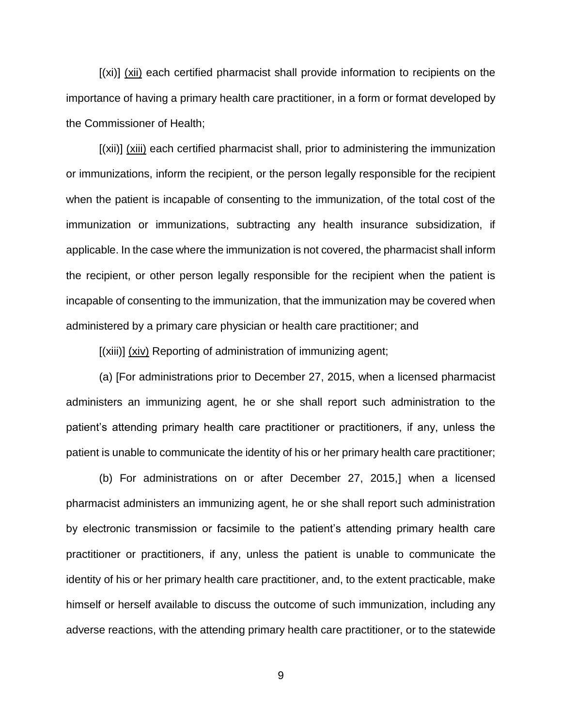$[(xi)]$   $(xii)$  each certified pharmacist shall provide information to recipients on the importance of having a primary health care practitioner, in a form or format developed by the Commissioner of Health;

[(xii)] (xiii) each certified pharmacist shall, prior to administering the immunization or immunizations, inform the recipient, or the person legally responsible for the recipient when the patient is incapable of consenting to the immunization, of the total cost of the immunization or immunizations, subtracting any health insurance subsidization, if applicable. In the case where the immunization is not covered, the pharmacist shall inform the recipient, or other person legally responsible for the recipient when the patient is incapable of consenting to the immunization, that the immunization may be covered when administered by a primary care physician or health care practitioner; and

[(xiii)] (xiv) Reporting of administration of immunizing agent;

(a) [For administrations prior to December 27, 2015, when a licensed pharmacist administers an immunizing agent, he or she shall report such administration to the patient's attending primary health care practitioner or practitioners, if any, unless the patient is unable to communicate the identity of his or her primary health care practitioner;

(b) For administrations on or after December 27, 2015,] when a licensed pharmacist administers an immunizing agent, he or she shall report such administration by electronic transmission or facsimile to the patient's attending primary health care practitioner or practitioners, if any, unless the patient is unable to communicate the identity of his or her primary health care practitioner, and, to the extent practicable, make himself or herself available to discuss the outcome of such immunization, including any adverse reactions, with the attending primary health care practitioner, or to the statewide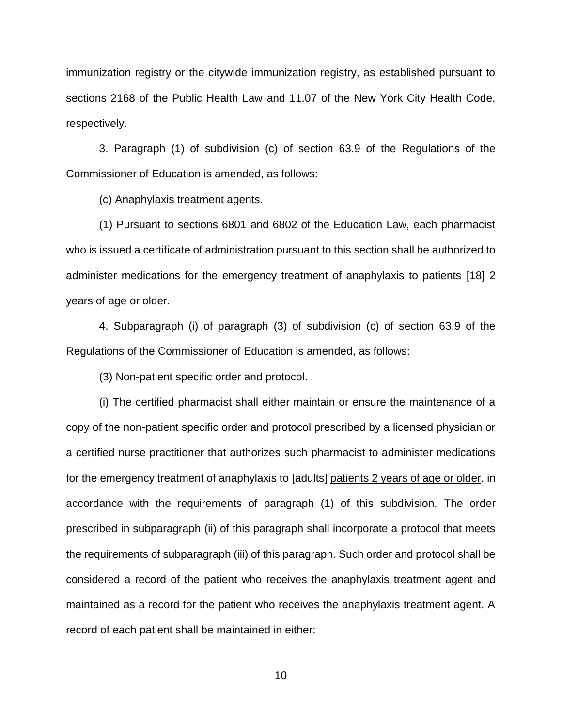immunization registry or the citywide immunization registry, as established pursuant to sections 2168 of the Public Health Law and 11.07 of the New York City Health Code, respectively.

3. Paragraph (1) of subdivision (c) of section 63.9 of the Regulations of the Commissioner of Education is amended, as follows:

(c) Anaphylaxis treatment agents.

(1) Pursuant to sections 6801 and 6802 of the Education Law, each pharmacist who is issued a certificate of administration pursuant to this section shall be authorized to administer medications for the emergency treatment of anaphylaxis to patients [18] 2 years of age or older.

4. Subparagraph (i) of paragraph (3) of subdivision (c) of section 63.9 of the Regulations of the Commissioner of Education is amended, as follows:

(3) Non-patient specific order and protocol.

(i) The certified pharmacist shall either maintain or ensure the maintenance of a copy of the non-patient specific order and protocol prescribed by a licensed physician or a certified nurse practitioner that authorizes such pharmacist to administer medications for the emergency treatment of anaphylaxis to [adults] patients 2 years of age or older, in accordance with the requirements of paragraph (1) of this subdivision. The order prescribed in subparagraph (ii) of this paragraph shall incorporate a protocol that meets the requirements of subparagraph (iii) of this paragraph. Such order and protocol shall be considered a record of the patient who receives the anaphylaxis treatment agent and maintained as a record for the patient who receives the anaphylaxis treatment agent. A record of each patient shall be maintained in either: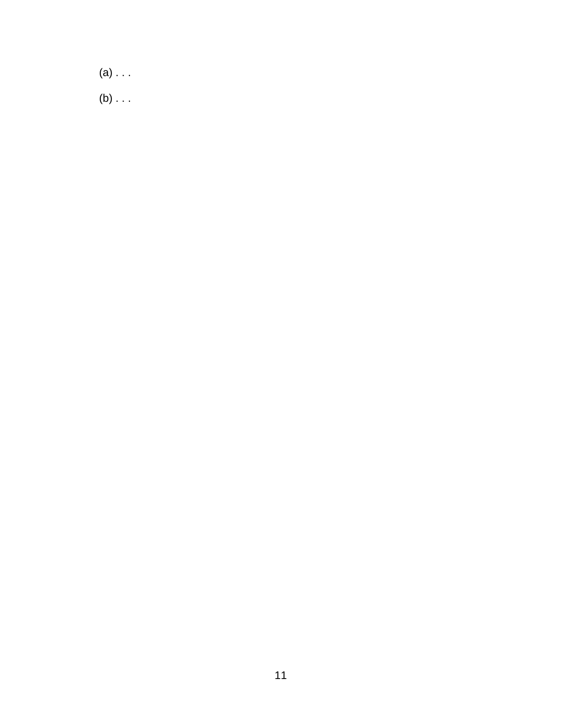$(a) \ldots$  $(b) \ldots$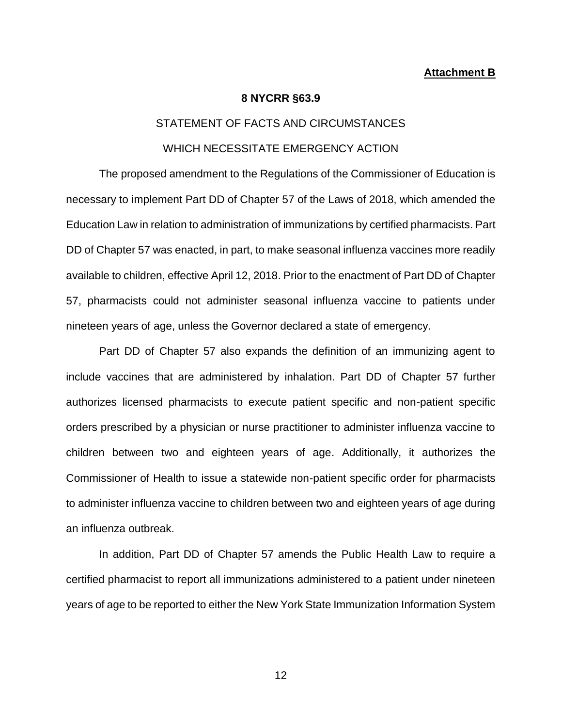**Attachment B**

#### **8 NYCRR §63.9**

# STATEMENT OF FACTS AND CIRCUMSTANCES WHICH NECESSITATE EMERGENCY ACTION

The proposed amendment to the Regulations of the Commissioner of Education is necessary to implement Part DD of Chapter 57 of the Laws of 2018, which amended the Education Law in relation to administration of immunizations by certified pharmacists. Part DD of Chapter 57 was enacted, in part, to make seasonal influenza vaccines more readily available to children, effective April 12, 2018. Prior to the enactment of Part DD of Chapter 57, pharmacists could not administer seasonal influenza vaccine to patients under nineteen years of age, unless the Governor declared a state of emergency.

Part DD of Chapter 57 also expands the definition of an immunizing agent to include vaccines that are administered by inhalation. Part DD of Chapter 57 further authorizes licensed pharmacists to execute patient specific and non-patient specific orders prescribed by a physician or nurse practitioner to administer influenza vaccine to children between two and eighteen years of age. Additionally, it authorizes the Commissioner of Health to issue a statewide non-patient specific order for pharmacists to administer influenza vaccine to children between two and eighteen years of age during an influenza outbreak.

In addition, Part DD of Chapter 57 amends the Public Health Law to require a certified pharmacist to report all immunizations administered to a patient under nineteen years of age to be reported to either the New York State Immunization Information System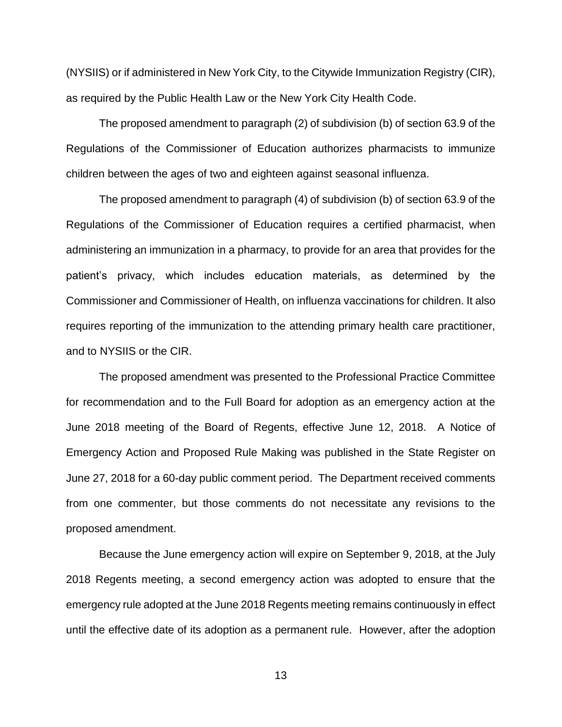(NYSIIS) or if administered in New York City, to the Citywide Immunization Registry (CIR), as required by the Public Health Law or the New York City Health Code.

The proposed amendment to paragraph (2) of subdivision (b) of section 63.9 of the Regulations of the Commissioner of Education authorizes pharmacists to immunize children between the ages of two and eighteen against seasonal influenza.

The proposed amendment to paragraph (4) of subdivision (b) of section 63.9 of the Regulations of the Commissioner of Education requires a certified pharmacist, when administering an immunization in a pharmacy, to provide for an area that provides for the patient's privacy, which includes education materials, as determined by the Commissioner and Commissioner of Health, on influenza vaccinations for children. It also requires reporting of the immunization to the attending primary health care practitioner, and to NYSIIS or the CIR.

The proposed amendment was presented to the Professional Practice Committee for recommendation and to the Full Board for adoption as an emergency action at the June 2018 meeting of the Board of Regents, effective June 12, 2018. A Notice of Emergency Action and Proposed Rule Making was published in the State Register on June 27, 2018 for a 60-day public comment period. The Department received comments from one commenter, but those comments do not necessitate any revisions to the proposed amendment.

Because the June emergency action will expire on September 9, 2018, at the July 2018 Regents meeting, a second emergency action was adopted to ensure that the emergency rule adopted at the June 2018 Regents meeting remains continuously in effect until the effective date of its adoption as a permanent rule. However, after the adoption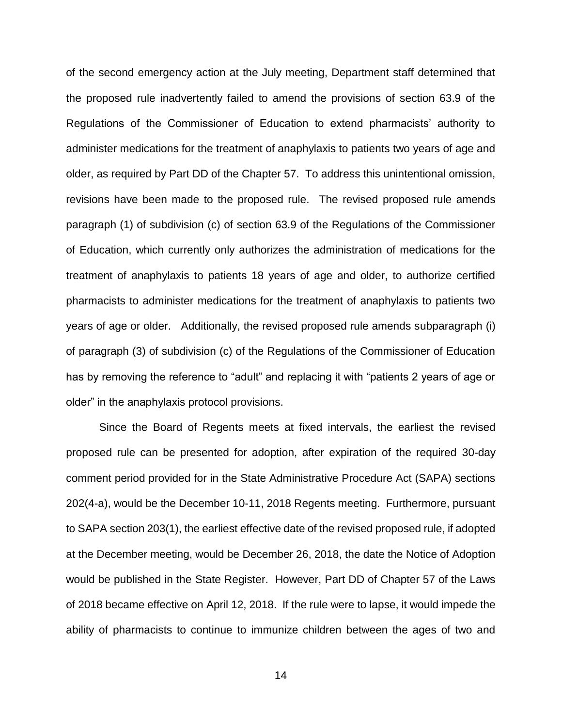of the second emergency action at the July meeting, Department staff determined that the proposed rule inadvertently failed to amend the provisions of section 63.9 of the Regulations of the Commissioner of Education to extend pharmacists' authority to administer medications for the treatment of anaphylaxis to patients two years of age and older, as required by Part DD of the Chapter 57. To address this unintentional omission, revisions have been made to the proposed rule. The revised proposed rule amends paragraph (1) of subdivision (c) of section 63.9 of the Regulations of the Commissioner of Education, which currently only authorizes the administration of medications for the treatment of anaphylaxis to patients 18 years of age and older, to authorize certified pharmacists to administer medications for the treatment of anaphylaxis to patients two years of age or older. Additionally, the revised proposed rule amends subparagraph (i) of paragraph (3) of subdivision (c) of the Regulations of the Commissioner of Education has by removing the reference to "adult" and replacing it with "patients 2 years of age or older" in the anaphylaxis protocol provisions.

Since the Board of Regents meets at fixed intervals, the earliest the revised proposed rule can be presented for adoption, after expiration of the required 30-day comment period provided for in the State Administrative Procedure Act (SAPA) sections 202(4-a), would be the December 10-11, 2018 Regents meeting. Furthermore, pursuant to SAPA section 203(1), the earliest effective date of the revised proposed rule, if adopted at the December meeting, would be December 26, 2018, the date the Notice of Adoption would be published in the State Register. However, Part DD of Chapter 57 of the Laws of 2018 became effective on April 12, 2018. If the rule were to lapse, it would impede the ability of pharmacists to continue to immunize children between the ages of two and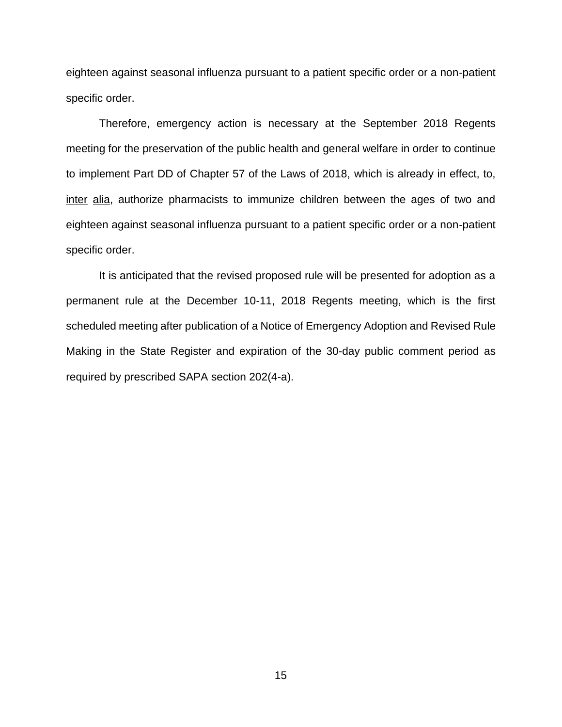eighteen against seasonal influenza pursuant to a patient specific order or a non-patient specific order.

Therefore, emergency action is necessary at the September 2018 Regents meeting for the preservation of the public health and general welfare in order to continue to implement Part DD of Chapter 57 of the Laws of 2018, which is already in effect, to, inter alia, authorize pharmacists to immunize children between the ages of two and eighteen against seasonal influenza pursuant to a patient specific order or a non-patient specific order.

It is anticipated that the revised proposed rule will be presented for adoption as a permanent rule at the December 10-11, 2018 Regents meeting, which is the first scheduled meeting after publication of a Notice of Emergency Adoption and Revised Rule Making in the State Register and expiration of the 30-day public comment period as required by prescribed SAPA section 202(4-a).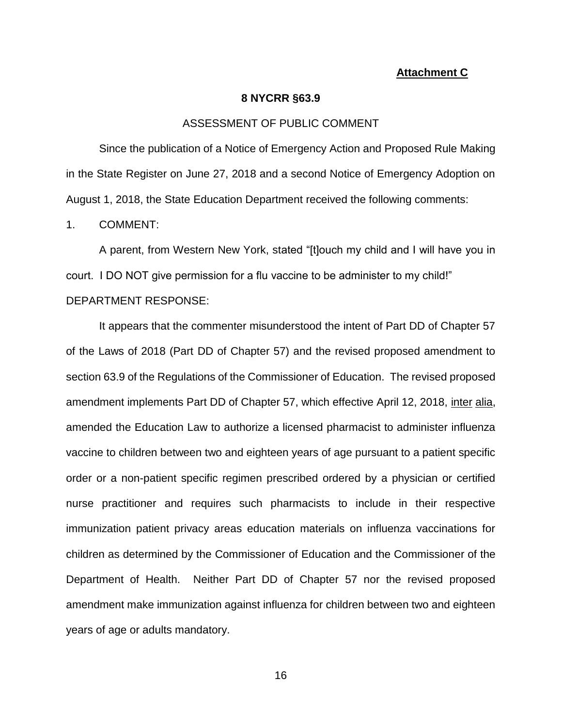#### **Attachment C**

#### **8 NYCRR §63.9**

#### ASSESSMENT OF PUBLIC COMMENT

Since the publication of a Notice of Emergency Action and Proposed Rule Making in the State Register on June 27, 2018 and a second Notice of Emergency Adoption on August 1, 2018, the State Education Department received the following comments:

1. COMMENT:

A parent, from Western New York, stated "[t]ouch my child and I will have you in court. I DO NOT give permission for a flu vaccine to be administer to my child!" DEPARTMENT RESPONSE:

It appears that the commenter misunderstood the intent of Part DD of Chapter 57 of the Laws of 2018 (Part DD of Chapter 57) and the revised proposed amendment to section 63.9 of the Regulations of the Commissioner of Education. The revised proposed amendment implements Part DD of Chapter 57, which effective April 12, 2018, inter alia, amended the Education Law to authorize a licensed pharmacist to administer influenza vaccine to children between two and eighteen years of age pursuant to a patient specific order or a non-patient specific regimen prescribed ordered by a physician or certified nurse practitioner and requires such pharmacists to include in their respective immunization patient privacy areas education materials on influenza vaccinations for children as determined by the Commissioner of Education and the Commissioner of the Department of Health. Neither Part DD of Chapter 57 nor the revised proposed amendment make immunization against influenza for children between two and eighteen years of age or adults mandatory.